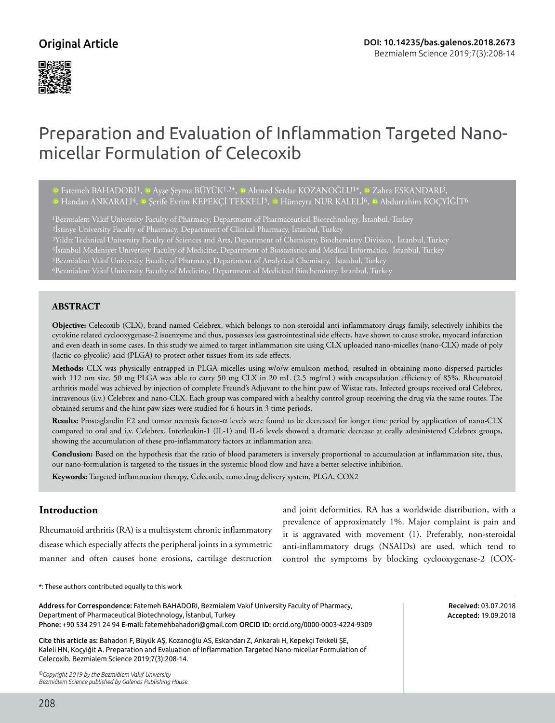## Original Article



# Preparation and Evaluation of Inflammation Targeted Nanomicellar Formulation of Celecoxib

<sup>1</sup>DFatemeh BAHADORİ<sup>1</sup>, <sup>10</sup> Ayşe Şeyma BÜYÜK<sup>1,2\*</sup>, <sup>10</sup> Ahmed Serdar KOZANOĞLU<sup>1\*</sup>, <sup>10</sup> Zahra ESKANDARI<sup>3</sup>, <sup>ID</sup>Handan ANKARALI<sup>4</sup>, D Şerife Evrim KEPEKÇİ TEKKELİ<sup>5</sup>, D Hümeyra NUR KALELİ<sup>6</sup>, D Abdurrahim KOÇYİĞİT<sup>6</sup>

1Bezmialem Vakıf University Faculty of Pharmacy, Department of Pharmaceutical Biotechnology, İstanbul, Turkey 2İstinye University Faculty of Pharmacy, Department of Clinical Pharmacy, İstanbul, Turkey 3Yıldız Technical University Faculty of Sciences and Arts, Department of Chemistry, Biochemistry Division, İstanbul, Turkey 4İstanbul Medeniyet University Faculty of Medicine, Department of Biostatistics and Medical Informatics, İstanbul, Turkey 6Bezmialem Vakıf University Faculty of Medicine, Department of Medicinal Biochemistry, İstanbul, Turkey

## **ABSTRACT**

**Objective:** Celecoxib (CLX), brand named Celebrex, which belongs to non-steroidal anti-inflammatory drugs family, selectively inhibits the cytokine related cyclooxygenase-2 isoenzyme and thus, possesses less gastrointestinal side effects, have shown to cause stroke, myocard infarction and even death in some cases. In this study we aimed to target inflammation site using CLX uploaded nano-micelles (nano-CLX) made of poly (lactic-co-glycolic) acid (PLGA) to protect other tissues from its side effects.

**Methods:** CLX was physically entrapped in PLGA micelles using w/o/w emulsion method, resulted in obtaining mono-dispersed particles with 112 nm size. 50 mg PLGA was able to carry 50 mg CLX in 20 mL (2.5 mg/mL) with encapsulation efficiency of 85%. Rheumatoid arthritis model was achieved by injection of complete Freund's Adjuvant to the hint paw of Wistar rats. Infected groups received oral Celebrex, intravenous (i.v.) Celebrex and nano-CLX. Each group was compared with a healthy control group receiving the drug via the same routes. The obtained serums and the hint paw sizes were studied for 6 hours in 3 time periods.

**Results:** Prostaglandin E2 and tumor necrosis factor-α levels were found to be decreased for longer time period by application of nano-CLX compared to oral and i.v. Celebrex. Interleukin-1 (IL-1) and IL-6 levels showed a dramatic decrease at orally administered Celebrex groups, showing the accumulation of these pro-inflammatory factors at inflammation area.

**Conclusion:** Based on the hypothesis that the ratio of blood parameters is inversely proportional to accumulation at inflammation site, thus, our nano-formulation is targeted to the tissues in the systemic blood flow and have a better selective inhibition.

**Keywords:** Targeted inflammation therapy, Celecoxib, nano drug delivery system, PLGA, COX2

## **Introduction**

Rheumatoid arthritis (RA) is a multisystem chronic inflammatory disease which especially affects the peripheral joints in a symmetric manner and often causes bone erosions, cartilage destruction and joint deformities. RA has a worldwide distribution, with a prevalence of approximately 1%. Major complaint is pain and it is aggravated with movement (1). Preferably, non-steroidal anti-inflammatory drugs (NSAIDs) are used, which tend to control the symptoms by blocking cyclooxygenase-2 (COX-

\*: These authors contributed equally to this work

| Address for Correspondence: Fatemeh BAHADORI, Bezmialem Vakif University Faculty of Pharmacy,<br>Department of Pharmaceutical Biotechnology, İstanbul, Turkey<br>Phone: +90 534 291 24 94 E-mail: fatemehbahadori@qmail.com ORCID ID: orcid.org/0000-0003-4224-9309 | Received: 03.07.2018<br>Accepted: 19.09.2018 |
|---------------------------------------------------------------------------------------------------------------------------------------------------------------------------------------------------------------------------------------------------------------------|----------------------------------------------|
| Cite this article as: Bahadori F, Büyük AS, Kozanoğlu AS, Eskandarı Z, Ankaralı H, Kepekçi Tekkeli ŞE,<br>Kaleli HN, Kocyiğit A. Preparation and Evaluation of Inflammation Targeted Nano-micellar Formulation of<br>Celecoxib. Bezmialem Science 2019;7(3):208-14. |                                              |
| <sup>©</sup> Copyright 2019 by the Bezmiâlem Vakıf University<br>Bezmiâlem Science published by Galenos Publishing House.                                                                                                                                           |                                              |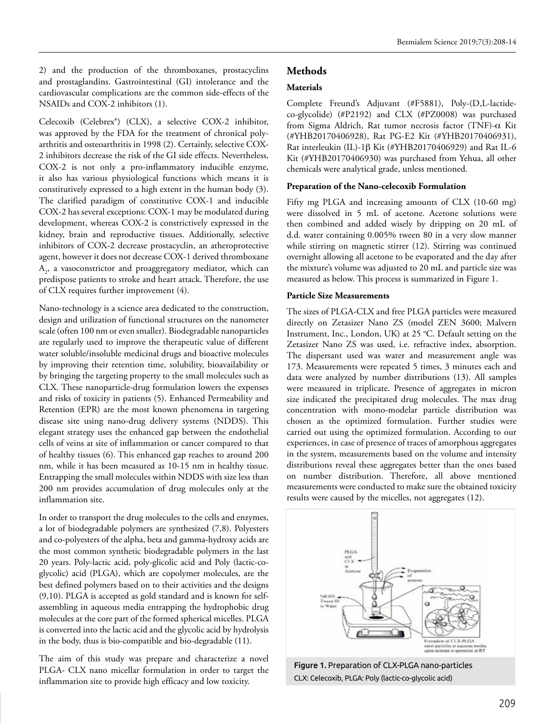2) and the production of the thromboxanes, prostacyclins and prostaglandins. Gastrointestinal (GI) intolerance and the cardiovascular complications are the common side-effects of the NSAIDs and COX-2 inhibitors (1).

Celecoxib (Celebrex®) (CLX), a selective COX-2 inhibitor, was approved by the FDA for the treatment of chronical polyarthritis and osteoarthritis in 1998 (2). Certainly, selective COX-2 inhibitors decrease the risk of the GI side effects. Nevertheless, COX-2 is not only a pro-inflammatory inducible enzyme, it also has various physiological functions which means it is constitutively expressed to a high extent in the human body (3). The clarified paradigm of constitutive COX-1 and inducible COX-2 has several exceptions: COX-1 may be modulated during development, whereas COX-2 is constrictively expressed in the kidney, brain and reproductive tissues. Additionally, selective inhibitors of COX-2 decrease prostacyclin, an atheroprotective agent, however it does not decrease COX-1 derived thromboxane  $A_2$ , a vasoconstrictor and proaggregatory mediator, which can predispose patients to stroke and heart attack. Therefore, the use of CLX requires further improvement (4).

Nano-technology is a science area dedicated to the construction, design and utilization of functional structures on the nanometer scale (often 100 nm or even smaller). Biodegradable nanoparticles are regularly used to improve the therapeutic value of different water soluble/insoluble medicinal drugs and bioactive molecules by improving their retention time, solubility, bioavailability or by bringing the targeting property to the small molecules such as CLX. These nanoparticle-drug formulation lowers the expenses and risks of toxicity in patients (5). Enhanced Permeability and Retention (EPR) are the most known phenomena in targeting disease site using nano-drug delivery systems (NDDS). This elegant strategy uses the enhanced gap between the endothelial cells of veins at site of inflammation or cancer compared to that of healthy tissues (6). This enhanced gap reaches to around 200 nm, while it has been measured as 10-15 nm in healthy tissue. Entrapping the small molecules within NDDS with size less than 200 nm provides accumulation of drug molecules only at the inflammation site.

In order to transport the drug molecules to the cells and enzymes, a lot of biodegradable polymers are synthesized (7,8). Polyesters and co-polyesters of the alpha, beta and gamma-hydroxy acids are the most common synthetic biodegradable polymers in the last 20 years. Poly-lactic acid, poly-glicolic acid and Poly (lactic-coglycolic) acid (PLGA), which are copolymer molecules, are the best defined polymers based on to their activities and the designs (9,10). PLGA is accepted as gold standard and is known for selfassembling in aqueous media entrapping the hydrophobic drug molecules at the core part of the formed spherical micelles. PLGA is converted into the lactic acid and the glycolic acid by hydrolysis in the body, thus is bio-compatible and bio-degradable (11).

The aim of this study was prepare and characterize a novel PLGA- CLX nano micellar formulation in order to target the inflammation site to provide high efficacy and low toxicity.

## **Methods**

## **Materials**

Complete Freund's Adjuvant (#F5881), Poly-(D,L-lactideco-glycolide) (#P2192) and CLX (#PZ0008) was purchased from Sigma Aldrich, Rat tumor necrosis factor (TNF)- $\alpha$  Kit (#YHB20170406928), Rat PG-E2 Kit (#YHB20170406931), Rat interleukin (IL)-1 $\beta$  Kit (#YHB20170406929) and Rat IL-6 Kit (#YHB20170406930) was purchased from Yehua, all other chemicals were analytical grade, unless mentioned.

### **Preparation of the Nano-celecoxib Formulation**

Fifty mg PLGA and increasing amounts of CLX (10-60 mg) were dissolved in 5 mL of acetone. Acetone solutions were then combined and added wisely by dripping on 20 mL of d.d. water containing 0.005% tween 80 in a very slow manner while stirring on magnetic stirrer (12). Stirring was continued overnight allowing all acetone to be evaporated and the day after the mixture's volume was adjusted to 20 mL and particle size was measured as below. This process is summarized in Figure 1.

### **Particle Size Measurements**

The sizes of PLGA-CLX and free PLGA particles were measured directly on Zetasizer Nano ZS (model ZEN 3600; Malvern Instrument, Inc., London, UK) at 25 °C. Default setting on the Zetasizer Nano ZS was used, i.e. refractive index, absorption. The dispersant used was water and measurement angle was 173. Measurements were repeated 5 times, 3 minutes each and data were analyzed by number distributions (13). All samples were measured in triplicate. Presence of aggregates in micron size indicated the precipitated drug molecules. The max drug concentration with mono-modelar particle distribution was chosen as the optimized formulation. Further studies were carried out using the optimized formulation. According to our experiences, in case of presence of traces of amorphous aggregates in the system, measurements based on the volume and intensity distributions reveal these aggregates better than the ones based on number distribution. Therefore, all above mentioned measurements were conducted to make sure the obtained toxicity results were caused by the micelles, not aggregates (12).



Figure 1. Preparation of CLX-PLGA nano-particles CLX: Celecoxib, PLGA: Poly (lactic-co-glycolic acid)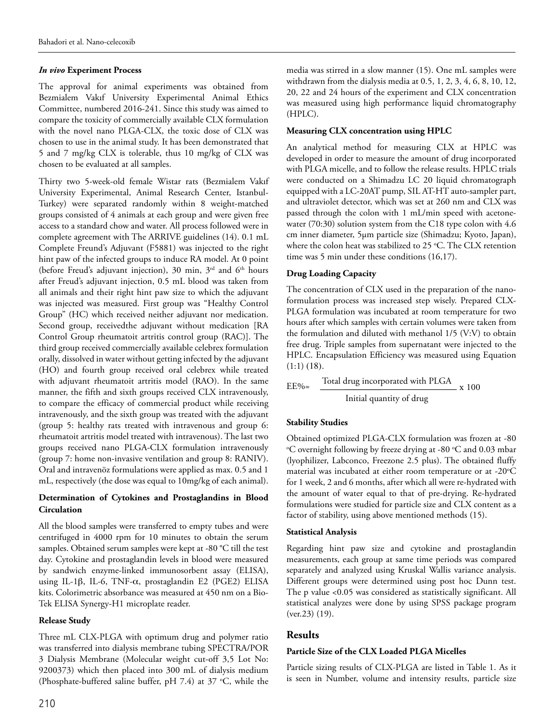## *In vivo* **Experiment Process**

The approval for animal experiments was obtained from Bezmialem Vakıf University Experimental Animal Ethics Committee, numbered 2016-241. Since this study was aimed to compare the toxicity of commercially available CLX formulation with the novel nano PLGA-CLX, the toxic dose of CLX was chosen to use in the animal study. It has been demonstrated that 5 and 7 mg/kg CLX is tolerable, thus 10 mg/kg of CLX was chosen to be evaluated at all samples.

Thirty two 5-week-old female Wistar rats (Bezmialem Vakıf University Experimental, Animal Research Center, Istanbul-Turkey) were separated randomly within 8 weight-matched groups consisted of 4 animals at each group and were given free access to a standard chow and water. All process followed were in complete agreement with The ARRIVE guidelines (14). 0.1 mL Complete Freund's Adjuvant (F5881) was injected to the right hint paw of the infected groups to induce RA model. At 0 point (before Freud's adjuvant injection), 30 min,  $3<sup>rd</sup>$  and  $6<sup>th</sup>$  hours after Freud's adjuvant injection, 0.5 mL blood was taken from all animals and their right hint paw size to which the adjuvant was injected was measured. First group was "Healthy Control Group" (HC) which received neither adjuvant nor medication. Second group, receivedthe adjuvant without medication [RA Control Group rheumatoit artritis control group (RAC)]. The third group received commercially available celebrex formulation orally, dissolved in water without getting infected by the adjuvant (HO) and fourth group received oral celebrex while treated with adjuvant rheumatoit artritis model (RAO). In the same manner, the fifth and sixth groups received CLX intravenously, to compare the efficacy of commercial product while receiving intravenously, and the sixth group was treated with the adjuvant (group 5: healthy rats treated with intravenous and group 6: rheumatoit artritis model treated with intravenous). The last two groups received nano PLGA-CLX formulation intravenously (group 7: home non-invasive ventilation and group 8: RANIV). Oral and intravenöz formulations were applied as max. 0.5 and 1 mL, respectively (the dose was equal to 10mg/kg of each animal).

## **Determination of Cytokines and Prostaglandins in Blood Circulation**

All the blood samples were transferred to empty tubes and were centrifuged in 4000 rpm for 10 minutes to obtain the serum samples. Obtained serum samples were kept at -80 °C till the test day. Cytokine and prostaglandin levels in blood were measured by sandwich enzyme-linked immunosorbent assay (ELISA), using IL-1 $\beta$ , IL-6, TNF- $\alpha$ , prostaglandin E2 (PGE2) ELISA kits. Colorimetric absorbance was measured at 450 nm on a Bio-Tek ELISA Synergy-H1 microplate reader.

## **Release Study**

Three mL CLX-PLGA with optimum drug and polymer ratio was transferred into dialysis membrane tubing SPECTRA/POR 3 Dialysis Membrane (Molecular weight cut-off 3,5 Lot No: 9200373) which then placed into 300 mL of dialysis medium (Phosphate-buffered saline buffer, pH 7.4) at 37  $°C$ , while the media was stirred in a slow manner (15). One mL samples were withdrawn from the dialysis media at 0.5, 1, 2, 3, 4, 6, 8, 10, 12, 20, 22 and 24 hours of the experiment and CLX concentration was measured using high performance liquid chromatography (HPLC).

## **Measuring CLX concentration using HPLC**

An analytical method for measuring CLX at HPLC was developed in order to measure the amount of drug incorporated with PLGA micelle, and to follow the release results. HPLC trials were conducted on a Shimadzu LC 20 liquid chromatograph equipped with a LC-20AT pump, SIL AT-HT auto-sampler part, and ultraviolet detector, which was set at 260 nm and CLX was passed through the colon with 1 mL/min speed with acetonewater (70:30) solution system from the C18 type colon with 4.6 cm inner diameter, 5µm particle size (Shimadzu; Kyoto, Japan), where the colon heat was stabilized to 25  $\degree$ C. The CLX retention time was 5 min under these conditions (16,17).

## **Drug Loading Capacity**

The concentration of CLX used in the preparation of the nanoformulation process was increased step wisely. Prepared CLX-PLGA formulation was incubated at room temperature for two hours after which samples with certain volumes were taken from the formulation and diluted with methanol 1/5 (V:V) to obtain free drug. Triple samples from supernatant were injected to the HPLC. Encapsulation Efficiency was measured using Equation  $(1:1)$   $(18)$ .

$$
EE\% = \frac{\text{Total drug incorporated with PLGA}}{\text{Initial quantity of drug}} \times 100
$$

## **Stability Studies**

Obtained optimized PLGA-CLX formulation was frozen at -80 <sup>o</sup>C overnight following by freeze drying at -80 °C and 0.03 mbar (lyophilizer, Labconco, Freezone 2.5 plus). The obtained fluffy material was incubated at either room temperature or at -20°C for 1 week, 2 and 6 months, after which all were re-hydrated with the amount of water equal to that of pre-drying. Re-hydrated formulations were studied for particle size and CLX content as a factor of stability, using above mentioned methods (15).

## **Statistical Analysis**

Regarding hint paw size and cytokine and prostaglandin measurements, each group at same time periods was compared separately and analyzed using Kruskal Wallis variance analysis. Different groups were determined using post hoc Dunn test. The p value <0.05 was considered as statistically significant. All statistical analyzes were done by using SPSS package program (ver.23) (19).

## **Results**

## **Particle Size of the CLX Loaded PLGA Micelles**

Particle sizing results of CLX-PLGA are listed in Table 1. As it is seen in Number, volume and intensity results, particle size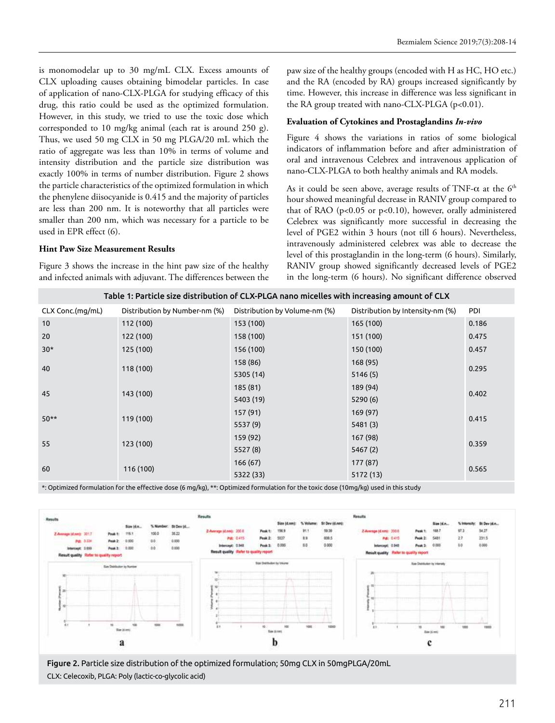is monomodelar up to 30 mg/mL CLX. Excess amounts of CLX uploading causes obtaining bimodelar particles. In case of application of nano-CLX-PLGA for studying efficacy of this drug, this ratio could be used as the optimized formulation. However, in this study, we tried to use the toxic dose which corresponded to 10 mg/kg animal (each rat is around 250 g). Thus, we used 50 mg CLX in 50 mg PLGA/20 mL which the ratio of aggregate was less than 10% in terms of volume and intensity distribution and the particle size distribution was exactly 100% in terms of number distribution. Figure 2 shows the particle characteristics of the optimized formulation in which the phenylene diisocyanide is 0.415 and the majority of particles are less than 200 nm. It is noteworthy that all particles were smaller than 200 nm, which was necessary for a particle to be used in EPR effect (6).

### **Hint Paw Size Measurement Results**

Figure 3 shows the increase in the hint paw size of the healthy and infected animals with adjuvant. The differences between the

paw size of the healthy groups (encoded with H as HC, HO etc.) and the RA (encoded by RA) groups increased significantly by time. However, this increase in difference was less significant in the RA group treated with nano-CLX-PLGA (p<0.01).

#### **Evaluation of Cytokines and Prostaglandins** *In-vivo*

Figure 4 shows the variations in ratios of some biological indicators of inflammation before and after administration of oral and intravenous Celebrex and intravenous application of nano-CLX-PLGA to both healthy animals and RA models.

As it could be seen above, average results of TNF- $\alpha$  at the  $6<sup>th</sup>$ hour showed meaningful decrease in RANIV group compared to that of RAO (p<0.05 or p<0.10), however, orally administered Celebrex was significantly more successful in decreasing the level of PGE2 within 3 hours (not till 6 hours). Nevertheless, intravenously administered celebrex was able to decrease the level of this prostaglandin in the long-term (6 hours). Similarly, RANIV group showed significantly decreased levels of PGE2 in the long-term (6 hours). No significant difference observed

| Table 1: Particle size distribution of CLX-PLGA nano micelles with increasing amount of CLX |                               |                               |                                  |       |  |
|---------------------------------------------------------------------------------------------|-------------------------------|-------------------------------|----------------------------------|-------|--|
| CLX Conc.(mg/mL)                                                                            | Distribution by Number-nm (%) | Distribution by Volume-nm (%) | Distribution by Intensity-nm (%) | PDI   |  |
| 10                                                                                          | 112 (100)                     | 153 (100)                     | 165 (100)                        | 0.186 |  |
| 20                                                                                          | 122 (100)                     | 158 (100)                     | 151 (100)                        | 0.475 |  |
| $30*$                                                                                       | 125 (100)                     | 156 (100)                     | 150 (100)                        | 0.457 |  |
| 40                                                                                          | 118 (100)                     | 158 (86)                      | 168(95)                          | 0.295 |  |
|                                                                                             |                               | 5305 (14)                     | 5146(5)                          |       |  |
| 45                                                                                          | 143 (100)                     | 185(81)                       | 189 (94)                         | 0.402 |  |
|                                                                                             |                               | 5403 (19)                     | 5290(6)                          |       |  |
| $50**$                                                                                      | 119 (100)                     | 157 (91)                      | 169 (97)                         | 0.415 |  |
|                                                                                             |                               | 5537 (9)                      | 5481(3)                          |       |  |
| 55                                                                                          | 123 (100)                     | 159 (92)                      | 167 (98)                         | 0.359 |  |
|                                                                                             |                               | 5527(8)                       | 5467 (2)                         |       |  |
| 60                                                                                          | 116 (100)                     | 166(67)                       | 177 (87)                         | 0.565 |  |
|                                                                                             |                               | 5322 (33)                     | 5172 (13)                        |       |  |

\*: Optimized formulation for the effective dose (6 mg/kg), \*\*: Optimized formulation for the toxic dose (10mg/kg) used in this study



Figure 2. Particle size distribution of the optimized formulation; 50mg CLX in 50mgPLGA/20mL CLX: Celecoxib, PLGA: Poly (lactic-co-glycolic acid)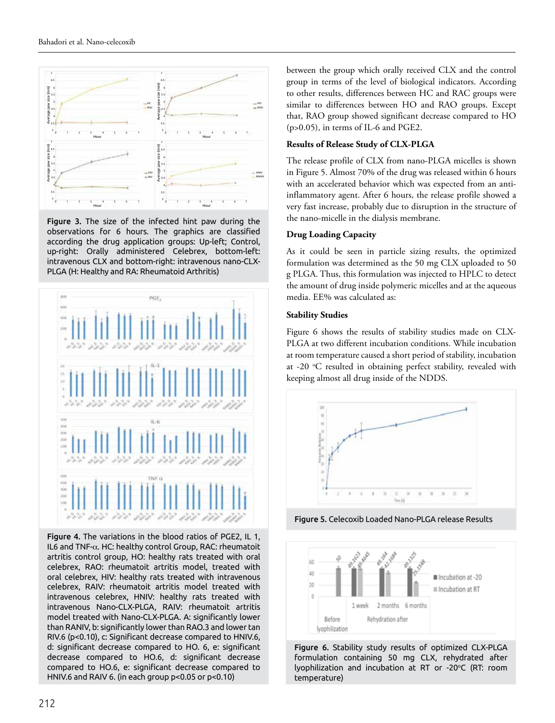

Figure 3. The size of the infected hint paw during the observations for 6 hours. The graphics are classified according the drug application groups: Up-left; Control, up-right: Orally administered Celebrex, bottom-left: intravenous CLX and bottom-right: intravenous nano-CLX-



Figure 4. The variations in the blood ratios of PGE2, IL 1, IL6 and TNF-α. HC: healthy control Group, RAC: rheumatoit artritis control group, HO: healthy rats treated with oral celebrex, RAO: rheumatoit artritis model, treated with oral celebrex, HIV: healthy rats treated with intravenous celebrex, RAIV: rheumatoit artritis model treated with intravenous celebrex, HNIV: healthy rats treated with intravenous Nano-CLX-PLGA, RAIV: rheumatoit artritis model treated with Nano-CLX-PLGA. A: significantly lower than RANIV, b: significantly lower than RAO.3 and lower tan RIV.6 (p<0.10), c: Significant decrease compared to HNIV.6, d: significant decrease compared to HO. 6, e: significant decrease compared to HO.6, d: significant decrease compared to HO.6, e: significant decrease compared to HNIV.6 and RAIV 6. (in each group p<0.05 or p<0.10)

between the group which orally received CLX and the control group in terms of the level of biological indicators. According to other results, differences between HC and RAC groups were similar to differences between HO and RAO groups. Except that, RAO group showed significant decrease compared to HO (p>0.05), in terms of IL-6 and PGE2.

## **Results of Release Study of CLX-PLGA**

The release profile of CLX from nano-PLGA micelles is shown in Figure 5. Almost 70% of the drug was released within 6 hours with an accelerated behavior which was expected from an antiinflammatory agent. After 6 hours, the release profile showed a very fast increase, probably due to disruption in the structure of the nano-micelle in the dialysis membrane.

### **Drug Loading Capacity**

As it could be seen in particle sizing results, the optimized formulation was determined as the 50 mg CLX uploaded to 50 g PLGA. Thus, this formulation was injected to HPLC to detect the amount of drug inside polymeric micelles and at the aqueous media. EE% was calculated as:

### **Stability Studies**

Figure 6 shows the results of stability studies made on CLX-PLGA at two different incubation conditions. While incubation at room temperature caused a short period of stability, incubation at -20 °C resulted in obtaining perfect stability, revealed with keeping almost all drug inside of the NDDS.



Figure 5. Celecoxib Loaded Nano-PLGA release Results



Figure 6. Stability study results of optimized CLX-PLGA formulation containing 50 mg CLX, rehydrated after lyophilization and incubation at RT or -20°C (RT: room temperature)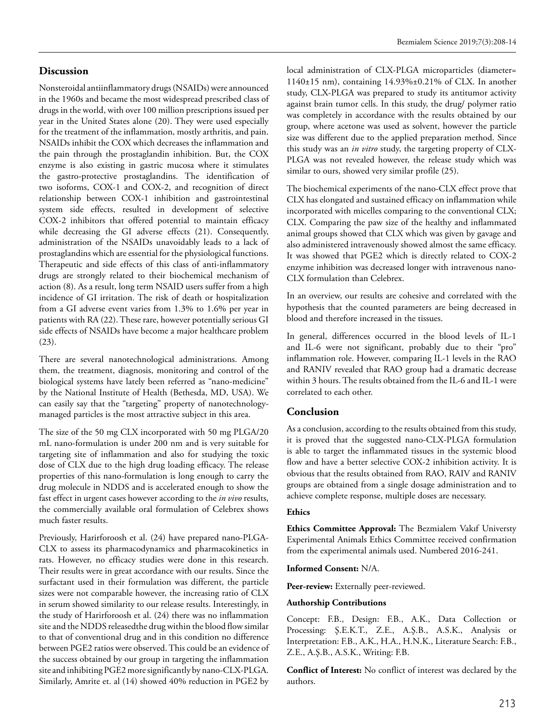## **Discussion**

Nonsteroidal antiinflammatory drugs (NSAIDs) were announced in the 1960s and became the most widespread prescribed class of drugs in the world, with over 100 million prescriptions issued per year in the United States alone (20). They were used especially for the treatment of the inflammation, mostly arthritis, and pain. NSAIDs inhibit the COX which decreases the inflammation and the pain through the prostaglandin inhibition. But, the COX enzyme is also existing in gastric mucosa where it stimulates the gastro-protective prostaglandins. The identification of two isoforms, COX-1 and COX-2, and recognition of direct relationship between COX-1 inhibition and gastrointestinal system side effects, resulted in development of selective COX-2 inhibitors that offered potential to maintain efficacy while decreasing the GI adverse effects (21). Consequently, administration of the NSAIDs unavoidably leads to a lack of prostaglandins which are essential for the physiological functions. Therapeutic and side effects of this class of anti-inflammatory drugs are strongly related to their biochemical mechanism of action (8). As a result, long term NSAID users suffer from a high incidence of GI irritation. The risk of death or hospitalization from a GI adverse event varies from 1.3% to 1.6% per year in patients with RA (22). These rare, however potentially serious GI side effects of NSAIDs have become a major healthcare problem (23).

There are several nanotechnological administrations. Among them, the treatment, diagnosis, monitoring and control of the biological systems have lately been referred as "nano-medicine" by the National Institute of Health (Bethesda, MD, USA). We can easily say that the "targeting" property of nanotechnologymanaged particles is the most attractive subject in this area.

The size of the 50 mg CLX incorporated with 50 mg PLGA/20 mL nano-formulation is under 200 nm and is very suitable for targeting site of inflammation and also for studying the toxic dose of CLX due to the high drug loading efficacy. The release properties of this nano-formulation is long enough to carry the drug molecule in NDDS and is accelerated enough to show the fast effect in urgent cases however according to the *in vivo* results, the commercially available oral formulation of Celebrex shows much faster results.

Previously, Harirforoosh et al. (24) have prepared nano-PLGA-CLX to assess its pharmacodynamics and pharmacokinetics in rats. However, no efficacy studies were done in this research. Their results were in great accordance with our results. Since the surfactant used in their formulation was different, the particle sizes were not comparable however, the increasing ratio of CLX in serum showed similarity to our release results. Interestingly, in the study of Harirforoosh et al. (24) there was no inflammation site and the NDDS releasedthe drug within the blood flow similar to that of conventional drug and in this condition no difference between PGE2 ratios were observed. This could be an evidence of the success obtained by our group in targeting the inflammation site and inhibiting PGE2 more significantly by nano-CLX-PLGA. Similarly, Amrite et. al (14) showed 40% reduction in PGE2 by

local administration of CLX-PLGA microparticles (diameter= 1140±15 nm), containing 14.93%±0.21% of CLX. In another study, CLX-PLGA was prepared to study its antitumor activity against brain tumor cells. In this study, the drug/ polymer ratio was completely in accordance with the results obtained by our group, where acetone was used as solvent, however the particle size was different due to the applied preparation method. Since this study was an *in vitro* study, the targeting property of CLX-PLGA was not revealed however, the release study which was similar to ours, showed very similar profile (25).

The biochemical experiments of the nano-CLX effect prove that CLX has elongated and sustained efficacy on inflammation while incorporated with micelles comparing to the conventional CLX; CLX. Comparing the paw size of the healthy and inflammated animal groups showed that CLX which was given by gavage and also administered intravenously showed almost the same efficacy. It was showed that PGE2 which is directly related to COX-2 enzyme inhibition was decreased longer with intravenous nano-CLX formulation than Celebrex.

In an overview, our results are cohesive and correlated with the hypothesis that the counted parameters are being decreased in blood and therefore increased in the tissues.

In general, differences occurred in the blood levels of IL-1 and IL-6 were not significant, probably due to their "pro" inflammation role. However, comparing IL-1 levels in the RAO and RANIV revealed that RAO group had a dramatic decrease within 3 hours. The results obtained from the IL-6 and IL-1 were correlated to each other.

## **Conclusion**

As a conclusion, according to the results obtained from this study, it is proved that the suggested nano-CLX-PLGA formulation is able to target the inflammated tissues in the systemic blood flow and have a better selective COX-2 inhibition activity. It is obvious that the results obtained from RAO, RAIV and RANIV groups are obtained from a single dosage administration and to achieve complete response, multiple doses are necessary.

#### **Ethics**

**Ethics Committee Approval:** The Bezmialem Vakıf Universty Experimental Animals Ethics Committee received confirmation from the experimental animals used. Numbered 2016-241.

#### **Informed Consent:** N/A.

Peer-review: Externally peer-reviewed.

#### **Authorship Contributions**

Concept: F.B., Design: F.B., A.K., Data Collection or Processing: Ş.E.K.T., Z.E., A.Ş.B., A.S.K., Analysis or Interpretation: F.B., A.K., H.A., H.N.K., Literature Search: F.B., Z.E., A.Ş.B., A.S.K., Writing: F.B.

**Conflict of Interest:** No conflict of interest was declared by the authors.